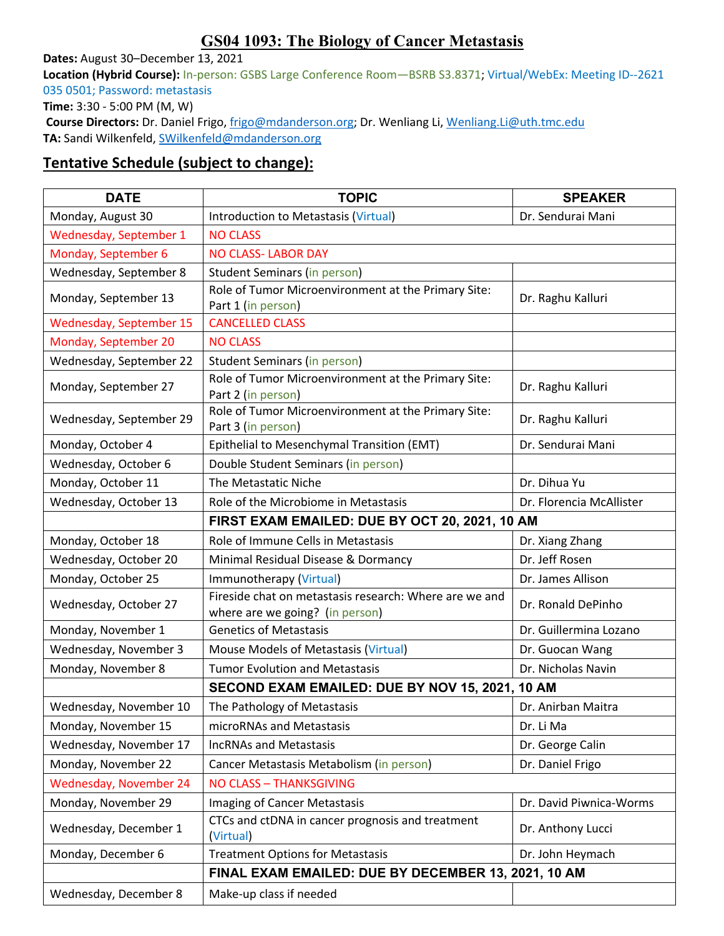## **GS04 1093: The Biology of Cancer Metastasis**

**Dates:** August 30–December 13, 2021

**Location (Hybrid Course):** In-person: GSBS Large Conference Room—BSRB S3.8371; Virtual/WebEx: Meeting ID--2621 035 0501; Password: metastasis

**Time:** 3:30 - 5:00 PM (M, W)

**Course Directors:** Dr. Daniel Frigo, frigo@mdanderson.org; Dr. Wenliang Li, Wenliang.Li@uth.tmc.edu **TA:** Sandi Wilkenfeld, SWilkenfeld@mdanderson.org

## **Tentative Schedule (subject to change):**

| <b>DATE</b>                    | <b>TOPIC</b>                                                                              | <b>SPEAKER</b>           |  |
|--------------------------------|-------------------------------------------------------------------------------------------|--------------------------|--|
| Monday, August 30              | Introduction to Metastasis (Virtual)                                                      | Dr. Sendurai Mani        |  |
| Wednesday, September 1         | <b>NO CLASS</b>                                                                           |                          |  |
| Monday, September 6            | <b>NO CLASS- LABOR DAY</b>                                                                |                          |  |
| Wednesday, September 8         | Student Seminars (in person)                                                              |                          |  |
| Monday, September 13           | Role of Tumor Microenvironment at the Primary Site:<br>Part 1 (in person)                 | Dr. Raghu Kalluri        |  |
| <b>Wednesday, September 15</b> | <b>CANCELLED CLASS</b>                                                                    |                          |  |
| Monday, September 20           | <b>NO CLASS</b>                                                                           |                          |  |
| Wednesday, September 22        | <b>Student Seminars (in person)</b>                                                       |                          |  |
| Monday, September 27           | Role of Tumor Microenvironment at the Primary Site:<br>Part 2 (in person)                 | Dr. Raghu Kalluri        |  |
| Wednesday, September 29        | Role of Tumor Microenvironment at the Primary Site:<br>Part 3 (in person)                 | Dr. Raghu Kalluri        |  |
| Monday, October 4              | Epithelial to Mesenchymal Transition (EMT)                                                | Dr. Sendurai Mani        |  |
| Wednesday, October 6           | Double Student Seminars (in person)                                                       |                          |  |
| Monday, October 11             | The Metastatic Niche                                                                      | Dr. Dihua Yu             |  |
| Wednesday, October 13          | Role of the Microbiome in Metastasis                                                      | Dr. Florencia McAllister |  |
|                                | FIRST EXAM EMAILED: DUE BY OCT 20, 2021, 10 AM                                            |                          |  |
| Monday, October 18             | Role of Immune Cells in Metastasis                                                        | Dr. Xiang Zhang          |  |
| Wednesday, October 20          | Minimal Residual Disease & Dormancy                                                       | Dr. Jeff Rosen           |  |
| Monday, October 25             | Immunotherapy (Virtual)                                                                   | Dr. James Allison        |  |
| Wednesday, October 27          | Fireside chat on metastasis research: Where are we and<br>where are we going? (in person) | Dr. Ronald DePinho       |  |
| Monday, November 1             | <b>Genetics of Metastasis</b>                                                             | Dr. Guillermina Lozano   |  |
| Wednesday, November 3          | Mouse Models of Metastasis (Virtual)                                                      | Dr. Guocan Wang          |  |
| Monday, November 8             | <b>Tumor Evolution and Metastasis</b>                                                     | Dr. Nicholas Navin       |  |
|                                | SECOND EXAM EMAILED: DUE BY NOV 15, 2021, 10 AM                                           |                          |  |
| Wednesday, November 10         | The Pathology of Metastasis                                                               | Dr. Anirban Maitra       |  |
| Monday, November 15            | microRNAs and Metastasis                                                                  | Dr. Li Ma                |  |
| Wednesday, November 17         | <b>IncRNAs and Metastasis</b>                                                             | Dr. George Calin         |  |
| Monday, November 22            | Cancer Metastasis Metabolism (in person)                                                  | Dr. Daniel Frigo         |  |
| <b>Wednesday, November 24</b>  | <b>NO CLASS - THANKSGIVING</b>                                                            |                          |  |
| Monday, November 29            | <b>Imaging of Cancer Metastasis</b>                                                       | Dr. David Piwnica-Worms  |  |
| Wednesday, December 1          | CTCs and ctDNA in cancer prognosis and treatment<br>(Virtual)                             | Dr. Anthony Lucci        |  |
| Monday, December 6             | <b>Treatment Options for Metastasis</b>                                                   | Dr. John Heymach         |  |
|                                | FINAL EXAM EMAILED: DUE BY DECEMBER 13, 2021, 10 AM                                       |                          |  |
| Wednesday, December 8          | Make-up class if needed                                                                   |                          |  |